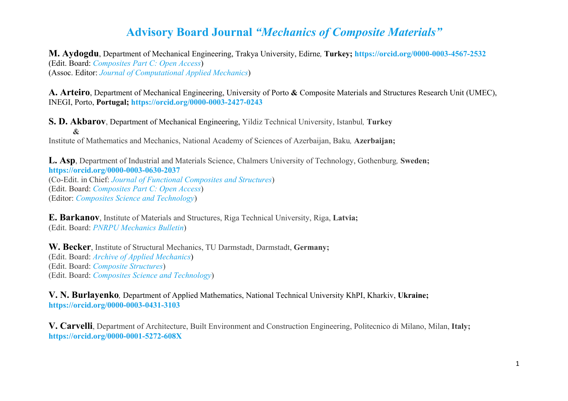**M. Aydogdu**, Department of Mechanical Engineering, Trakya University, Edirne*,* **Turkey; <https://orcid.org/0000-0003-4567-2532>** (Edit. Board: *[Composites Part C: Open Access](https://www.journals.elsevier.com/composites-part-c-open-access/editorial-board)*) (Assoc. Editor: *[Journal of Computational Applied Mechanics](https://jcamech.ut.ac.ir/journal/editorial.board)*)

**A. Arteiro**, Department of Mechanical Engineering, University of Porto **&** Composite Materials and Structures Research Unit (UMEC), INEGI, Porto, **Portugal; <https://orcid.org/0000-0003-2427-0243>**

**S. D. Akbarov**, Department of Mechanical Engineering, Yildiz Technical University, Istanbul*,* **Turkey &**

Institute of Mathematics and Mechanics, National Academy of Sciences of Azerbaijan, Baku*,* **Azerbaijan;** 

**L. Asp**, Department of Industrial and Materials Science, Chalmers University of Technology, Gothenburg*,* **Sweden; <https://orcid.org/0000-0003-0630-2037>**

(Co-Edit. in Chief: *[Journal of Functional Composites and Structures](https://iopscience.iop.org/journal/2631-6331/page/editorial-board)*) (Edit. Board: *[Composites Part C: Open Access](https://www.journals.elsevier.com/composites-part-c-open-access/editorial-board)*) (Editor: *[Composites Science and Technology](https://www.journals.elsevier.com/composites-science-and-technology/editorial-board)*)

**E. Barkanov**, Institute of Materials and Structures, Riga Technical University, Riga, **Latvia;**  (Edit. Board: *[PNRPU Mechanics Bulletin](https://ered.pstu.ru/index.php/mechanics)*)

**W. Becker**, Institute of Structural Mechanics, TU Darmstadt, Darmstadt, **Germany;** (Edit. Board: *[Archive of Applied Mechanics](https://www.springer.com/journal/419/editors)*) (Edit. Board: *[Composite Structures](https://www.journals.elsevier.com/composite-structures/editorial-board)*) (Edit. Board: *[Composites Science and Technology](https://www.journals.elsevier.com/composites-science-and-technology/editorial-board)*)

**V. N. Burlayenko***,* Department of Applied Mathematics, National Technical University KhPI, Kharkiv, **Ukraine; <https://orcid.org/0000-0003-0431-3103>**

**V. Carvelli**, Department of Architecture, Built Environment and Construction Engineering, Politecnico di Milano, Milan, **Italy; <https://orcid.org/0000-0001-5272-608X>**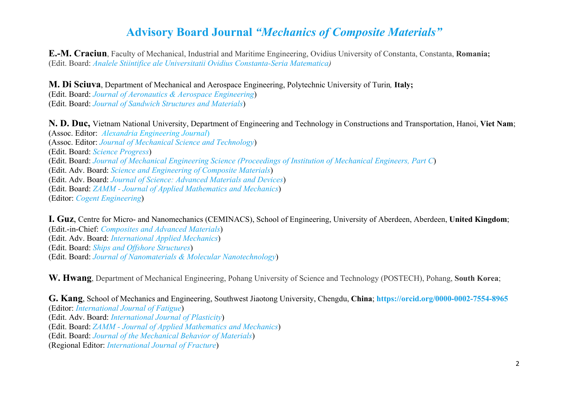**E.-M. Craciun**, Faculty of Mechanical, Industrial and Maritime Engineering, Ovidius University of Constanta, Constanta, **Romania;** (Edit. Board: *[Analele Stiintifice ale Universitatii Ovidius Constanta-Seria Matematica\)](https://www.anstuocmath.ro/editorial-board.html)*

**M. Di Sciuva**, Department of Mechanical and Aerospace Engineering, Polytechnic University of Turin*,* **Italy;** 

(Edit. Board: *[Journal of Aeronautics & Aerospace Engineering](https://www.longdom.org/aeronautics-aerospace-engineering/editorial-board.html)*) (Edit. Board: *[Journal of Sandwich Structures and Materials](https://journals.sagepub.com/editorial-board/JSM)*)

**N. D. Duc,** Vietnam National University, Department of Engineering and Technology in Constructions and Transportation, Hanoi, **Viet Nam**; (Assoc. Editor: *[Alexandria Engineering Journal](https://www.journals.elsevier.com/alexandria-engineering-journal)*) (Assoc. Editor: *[Journal of Mechanical Science and Technology](https://www.springer.com/journal/12206/editors)*) (Edit. Board: *[Science Progress](https://journals.sagepub.com/editorial-board/SCI)*) (Edit. Board: *[Journal of Mechanical Engineering Science \(Proceedings of Institution of Mechanical Engineers, Part C](https://journals.sagepub.com/editorial-board/PIC)*) (Edit. Adv. Board: *[Science and Engineering of Composite Materials](https://www.degruyter.com/view/journals/secm/secm-overview.xml?tab_body=editorialContent-79174)*) (Edit. Adv. Board: *[Journal of Science: Advanced Materials and Devices](https://www.journals.elsevier.com/journal-of-science-advanced-materials-and-devices/editorial-board)*) (Edit. Board: *ZAMM - [Journal of Applied Mathematics and Mechanics](https://onlinelibrary.wiley.com/page/journal/15214001/homepage/edbd.html)*) (Editor: *[Cogent Engineering](https://www.tandfonline.com/action/journalInformation?show=editorialBoard&journalCode=oaen20)*)

**I. Guz**, Centre for Micro- and Nanomechanics (CEMINACS), School of Engineering, University of Aberdeen, Aberdeen, **United Kingdom**; (Edit.-in-Chief: *[Composites and Advanced Materials](https://journals.sagepub.com/editorial-board/ACM)*) (Edit. Adv. Board: *[International Applied Mechanics](https://www.springer.com/journal/10778/editors)*) (Edit. Board: *[Ships and Offshore Structures](https://www.tandfonline.com/action/journalInformation?show=editorialBoard&journalCode=tsos20)*) (Edit. Board: *[Journal of Nanomaterials & Molecular Nanotechnology](https://www.scitechnol.com/editorialboard-nanomaterials-molecular-nanotechnology.php)*)

**W. Hwang**, Department of Mechanical Engineering, Pohang University of Science and Technology (POSTECH), Pohang, **South Korea**;

**G. Kang**, School of Mechanics and Engineering, Southwest Jiaotong University, Chengdu, **China**; **<https://orcid.org/0000-0002-7554-8965>** (Editor: *[International Journal of Fatigue](https://www.journals.elsevier.com/international-journal-of-fatigue)*) (Edit. Adv. Board: *[International Journal of Plasticity](https://www.journals.elsevier.com/international-journal-of-plasticity/editorial-board)*) (Edit. Board: *ZAMM - [Journal of Applied Mathematics and Mechanics](https://onlinelibrary.wiley.com/page/journal/15214001/homepage/edbd.html)*) (Edit. Board: *[Journal of the Mechanical Behavior of Materials](https://www.degruyter.com/view/journals/jmbm/jmbm-overview.xml?tab_body=editorialContent-78027)*) (Regional Editor: *[International Journal of Fracture](https://www.springer.com/journal/10704/editors)*)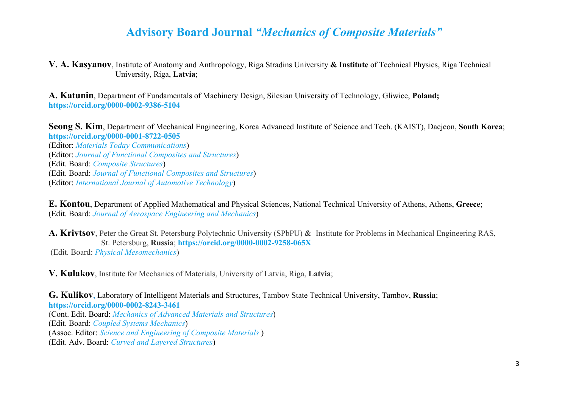**V. A. Kasyanov**, Institute of Anatomy and Anthropology, Riga Stradins University **& Institute** of Technical Physics, Riga Technical University, Riga, **Latvia**;

**A. Katunin**, Department of Fundamentals of Machinery Design, Silesian University of Technology, Gliwice, **Poland; <https://orcid.org/0000-0002-9386-5104>**

**Seong S. Kim**, Department of Mechanical Engineering, Korea Advanced Institute of Science and Tech. (KAIST), Daejeon, **South Korea**; **<https://orcid.org/0000-0001-8722-0505>**

(Editor: *[Materials Today Communications](https://www.journals.elsevier.com/materials-today-communications/editorial-board)*) (Editor: *[Journal of Functional Composites and Structures](https://iopscience.iop.org/journal/2631-6331/page/editorial-board)*) (Edit. Board: *[Composite Structures](https://www.journals.elsevier.com/composite-structures/editorial-board)*) (Edit. Board: *[Journal of Functional Composites and Structures](https://iopscience.iop.org/journal/2631-6331/page/editorial-board)*) (Editor: *[International Journal of Automotive Technology](https://www.springer.com/journal/12239/editors)*)

**E. Kontou**, Department of Applied Mathematical and Physical Sciences, National Technical University of Athens, Athens, **Greece**; (Edit. Board: *[Journal of Aerospace Engineering and Mechanics](https://scholars.direct/editorial-board.php?jid=aerospace-engineering-and-mechanics)*)

**A. Krivtsov**, Peter the Great St. Petersburg Polytechnic University (SPbPU) **&** Institute for Problems in Mechanical Engineering RAS, St. Petersburg, **Russia**; **<https://orcid.org/0000-0002-9258-065X>** (Edit. Board: *[Physical Mesomechanics](https://www.springer.com/journal/40334/editors)*)

**V. Kulakov**, Institute for Mechanics of Materials, University of Latvia, Riga, **Latvia**;

#### **G. Kulikov**, Laboratory of Intelligent Materials and Structures, Tambov State Technical University, Tambov, **Russia**; **<https://orcid.org/0000-0002-8243-3461>**

(Cont. Edit. Board: *[Mechanics of Advanced Materials and Structures](https://www.tandfonline.com/action/journalInformation?show=editorialBoard&journalCode=umcm20)*) (Edit. Board: *[Coupled Systems Mechanics](http://www.techno-press.org/?journal=csm&subpage=5)*) (Assoc. Editor: *[Science and Engineering of Composite Materials](https://www.degruyter.com/view/journals/secm/secm-overview.xml)* ) (Edit. Adv. Board: *[Curved and Layered Structures](https://www.degruyter.com/journal/key/CLS/html)*)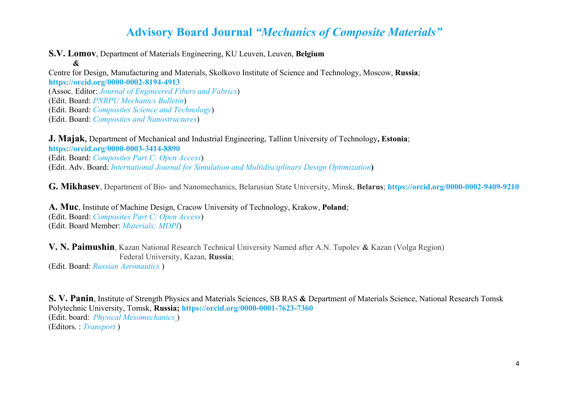**S.V. Lomov**, Department of Materials Engineering, KU Leuven, Leuven, **Belgium**

**&** Centre for Design, Manufacturing and Materials, Skolkovo Institute of Science and Technology, Moscow, **Russia**; **<https://orcid.org/0000-0002-8194-4913>** (Assoc. Editor: *[Journal of Engineered Fibers and Fabrics](https://journals.sagepub.com/editorial-board/JEF)*) (Edit. Board: *[PNRPU Mechanics Bulletin](https://ered.pstu.ru/index.php/mechanics)*) (Edit. Board: *[Composites Science and Technology](https://www.journals.elsevier.com/composites-science-and-technology/editorial-board)*) (Edit. Board: *[Composites and Nanostructures](http://www.issp.ac.ru/journal/composites/english/english.htm)*)

**J. Majak**, Department of Mechanical and Industrial Engineering, Tallinn University of Technology**, Estonia**;

**<https://orcid.org/0000-0003-3414-8890>** (Edit. Board: *[Composites Part C: Open Access](https://www.journals.elsevier.com/composites-part-c-open-access/editorial-board)*) (Edit. Adv. Board: *[International Journal for Simulation and Multidisciplinary Design Optimization](https://www.ijsmdo.org/about-the-journal/aims-and-scope)***)**

**G. Mikhasev**, Department of Bio- and Nanomechanics, Belarusian State University, Minsk, **Belarus**; **<https://orcid.org/0000-0002-9409-9210>**

**A. Muc**, Institute of Machine Design, Cracow University of Technology, Krakow, **Poland**; (Edit. Board: *[Composites Part C: Open Access](https://www.journals.elsevier.com/composites-part-c-open-access/editorial-board)*) (Edit. Board Member: *[Materials; MDPI](https://www.mdpi.com/journal/materials/editors)*)

**V. N. Paimushin**, Kazan National Research Technical University Named after A.N. Tupolev **&** Kazan (Volga Region) Federal University, Kazan, **Russia**;

(Edit. Board: *[Russian Aeronautics](https://www.springer.com/journal/11977/)* )

**S. V. Panin**, Institute of Strength Physics and Materials Sciences, SB RAS **&** Department of Materials Science, National Research Tomsk Polytechnic University, Tomsk, **Russia; <https://orcid.org/0000-0001-7623-7360>** (Edit. board: *[Physical Mesomechanics](https://www.springer.com/journal/40334/editors)* ) (Editors. : *[Transport](https://journals.vgtu.lt/index.php/Transport)* )